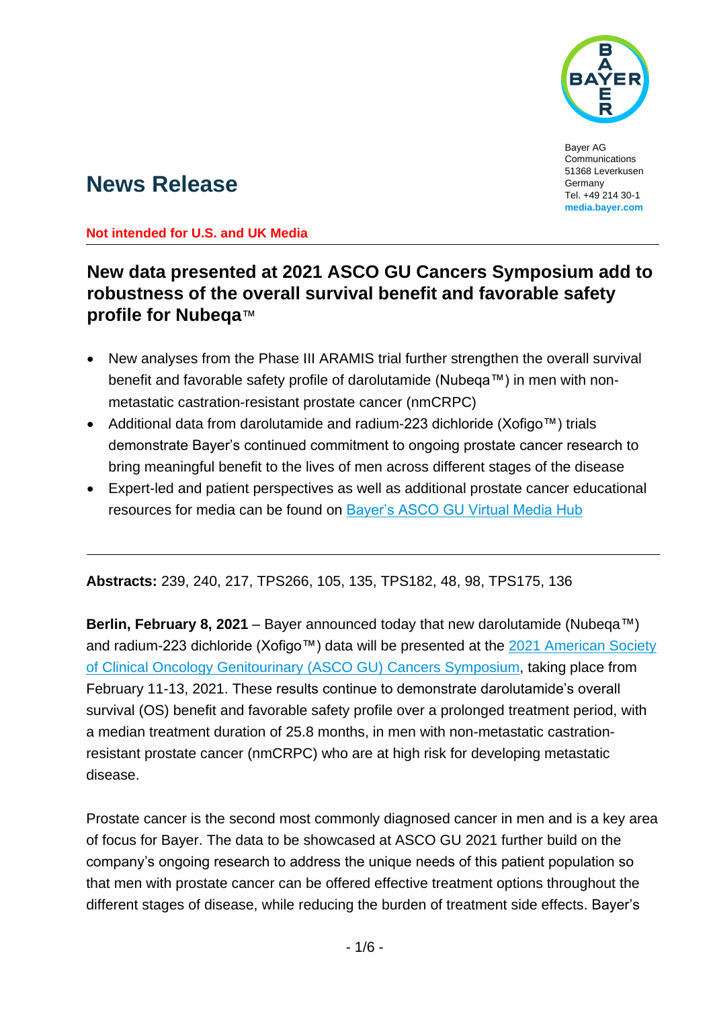

Bayer AG Communications 51368 Leverkusen Germany Tel. +49 214 30-1 **media.bayer.com**

# **News Release**

**Not intended for U.S. and UK Media**

## **New data presented at 2021 ASCO GU Cancers Symposium add to robustness of the overall survival benefit and favorable safety profile for Nubeqa**™

- New analyses from the Phase III ARAMIS trial further strengthen the overall survival benefit and favorable safety profile of darolutamide (Nubeqa™) in men with nonmetastatic castration-resistant prostate cancer (nmCRPC)
- Additional data from darolutamide and radium-223 dichloride (Xofigo™) trials demonstrate Bayer's continued commitment to ongoing prostate cancer research to bring meaningful benefit to the lives of men across different stages of the disease
- Expert-led and patient perspectives as well as additional prostate cancer educational resources for media can be found on [Bayer's ASCO GU Virtual Media Hub](https://pharma.bayer.com/virtual-press-hub-asco-gu)

**Abstracts:** 239, 240, 217, TPS266, 105, 135, TPS182, 48, 98, TPS175, 136

**Berlin, February 8, 2021** – Bayer announced today that new darolutamide (Nubeqa™) and radium-223 dichloride (Xofigo™) data will be presented at the 2021 American Society [of Clinical Oncology Genitourinary \(ASCO GU\) Cancers Symposium,](https://meetings.asco.org/gu/attend) taking place from February 11-13, 2021. These results continue to demonstrate darolutamide's overall survival (OS) benefit and favorable safety profile over a prolonged treatment period, with a median treatment duration of 25.8 months, in men with non-metastatic castrationresistant prostate cancer (nmCRPC) who are at high risk for developing metastatic disease.

Prostate cancer is the second most commonly diagnosed cancer in men and is a key area of focus for Bayer. The data to be showcased at ASCO GU 2021 further build on the company's ongoing research to address the unique needs of this patient population so that men with prostate cancer can be offered effective treatment options throughout the different stages of disease, while reducing the burden of treatment side effects. Bayer's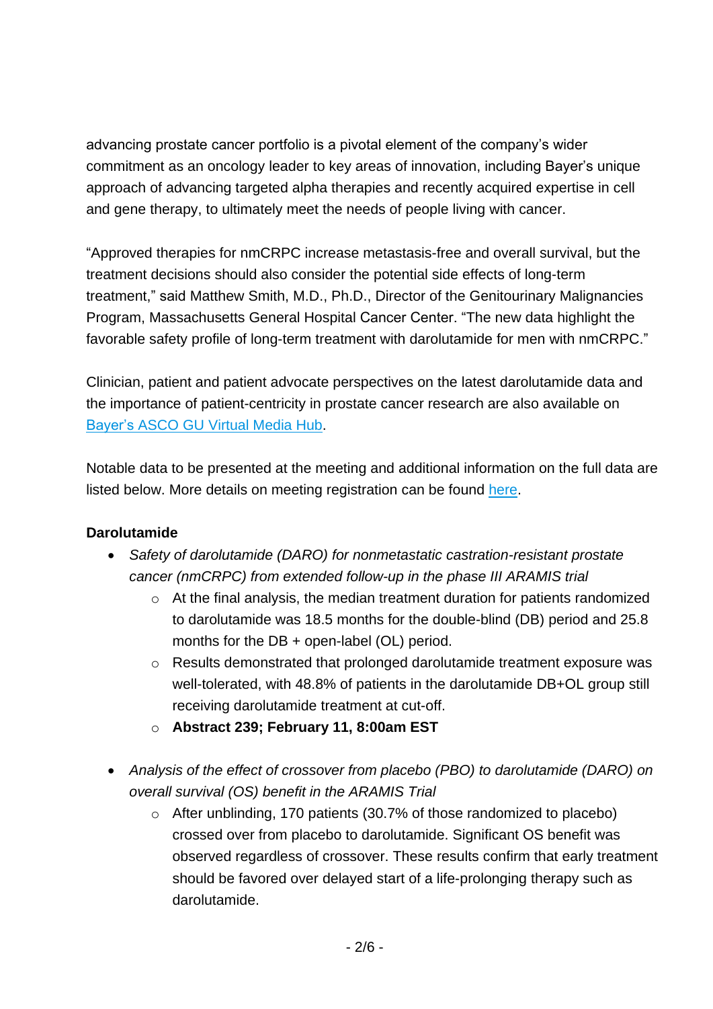advancing prostate cancer portfolio is a pivotal element of the company's wider commitment as an oncology leader to key areas of innovation, including Bayer's unique approach of advancing targeted alpha therapies and recently acquired expertise in cell and gene therapy, to ultimately meet the needs of people living with cancer.

"Approved therapies for nmCRPC increase metastasis-free and overall survival, but the treatment decisions should also consider the potential side effects of long-term treatment," said Matthew Smith, M.D., Ph.D., Director of the Genitourinary Malignancies Program, Massachusetts General Hospital Cancer Center. "The new data highlight the favorable safety profile of long-term treatment with darolutamide for men with nmCRPC."

Clinician, patient and patient advocate perspectives on the latest darolutamide data and the importance of patient-centricity in prostate cancer research are also available on [Bayer's ASCO GU Virtual Media Hub.](https://pharma.bayer.com/virtual-press-hub-asco-gu)

Notable data to be presented at the meeting and additional information on the full data are listed below. More details on meeting registration can be found [here.](https://meetings.asco.org/gu/attend)

## **Darolutamide**

- *Safety of darolutamide (DARO) for nonmetastatic castration-resistant prostate cancer (nmCRPC) from extended follow-up in the phase III ARAMIS trial*
	- o At the final analysis, the median treatment duration for patients randomized to darolutamide was 18.5 months for the double-blind (DB) period and 25.8 months for the DB + open-label (OL) period.
	- $\circ$  Results demonstrated that prolonged darolutamide treatment exposure was well-tolerated, with 48.8% of patients in the darolutamide DB+OL group still receiving darolutamide treatment at cut-off.
	- o **Abstract 239; February 11, 8:00am EST**
- *Analysis of the effect of crossover from placebo (PBO) to darolutamide (DARO) on overall survival (OS) benefit in the ARAMIS Trial*
	- o After unblinding, 170 patients (30.7% of those randomized to placebo) crossed over from placebo to darolutamide. Significant OS benefit was observed regardless of crossover. These results confirm that early treatment should be favored over delayed start of a life-prolonging therapy such as darolutamide.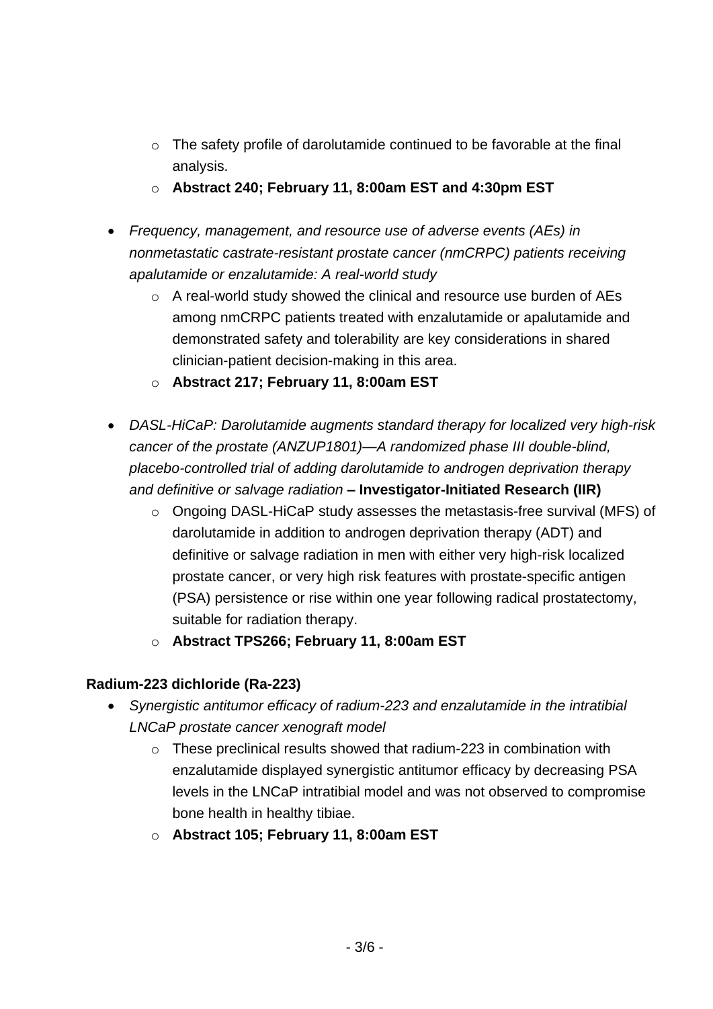- o The safety profile of darolutamide continued to be favorable at the final analysis.
- o **Abstract 240; February 11, 8:00am EST and 4:30pm EST**
- *Frequency, management, and resource use of adverse events (AEs) in nonmetastatic castrate-resistant prostate cancer (nmCRPC) patients receiving apalutamide or enzalutamide: A real-world study*
	- o A real-world study showed the clinical and resource use burden of AEs among nmCRPC patients treated with enzalutamide or apalutamide and demonstrated safety and tolerability are key considerations in shared clinician-patient decision-making in this area.
	- o **Abstract 217; February 11, 8:00am EST**
- *DASL-HiCaP: Darolutamide augments standard therapy for localized very high-risk cancer of the prostate (ANZUP1801)—A randomized phase III double-blind, placebo-controlled trial of adding darolutamide to androgen deprivation therapy and definitive or salvage radiation* **– Investigator-Initiated Research (IIR)**
	- o Ongoing DASL-HiCaP study assesses the metastasis-free survival (MFS) of darolutamide in addition to androgen deprivation therapy (ADT) and definitive or salvage radiation in men with either very high-risk localized prostate cancer, or very high risk features with prostate-specific antigen (PSA) persistence or rise within one year following radical prostatectomy, suitable for radiation therapy.
	- o **Abstract TPS266; February 11, 8:00am EST**

## **Radium-223 dichloride (Ra-223)**

- *Synergistic antitumor efficacy of radium-223 and enzalutamide in the intratibial LNCaP prostate cancer xenograft model*
	- o These preclinical results showed that radium-223 in combination with enzalutamide displayed synergistic antitumor efficacy by decreasing PSA levels in the LNCaP intratibial model and was not observed to compromise bone health in healthy tibiae.
	- o **Abstract 105; February 11, 8:00am EST**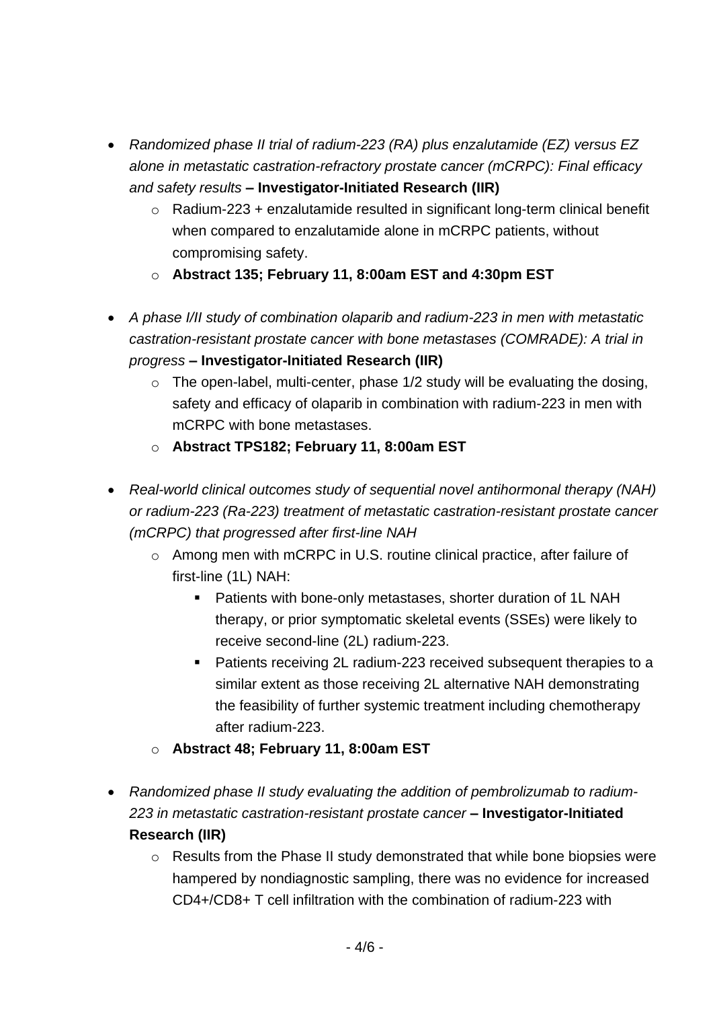- *Randomized phase II trial of radium-223 (RA) plus enzalutamide (EZ) versus EZ alone in metastatic castration-refractory prostate cancer (mCRPC): Final efficacy and safety results* **– Investigator-Initiated Research (IIR)**
	- o Radium-223 + enzalutamide resulted in significant long-term clinical benefit when compared to enzalutamide alone in mCRPC patients, without compromising safety.
	- o **Abstract 135; February 11, 8:00am EST and 4:30pm EST**
- *A phase I/II study of combination olaparib and radium-223 in men with metastatic castration-resistant prostate cancer with bone metastases (COMRADE): A trial in progress* **– Investigator-Initiated Research (IIR)**
	- $\circ$  The open-label, multi-center, phase 1/2 study will be evaluating the dosing, safety and efficacy of olaparib in combination with radium-223 in men with mCRPC with bone metastases.
	- o **Abstract TPS182; February 11, 8:00am EST**
- *Real-world clinical outcomes study of sequential novel antihormonal therapy (NAH) or radium-223 (Ra-223) treatment of metastatic castration-resistant prostate cancer (mCRPC) that progressed after first-line NAH*
	- o Among men with mCRPC in U.S. routine clinical practice, after failure of first-line (1L) NAH:
		- Patients with bone-only metastases, shorter duration of 1L NAH therapy, or prior symptomatic skeletal events (SSEs) were likely to receive second-line (2L) radium-223.
		- Patients receiving 2L radium-223 received subsequent therapies to a similar extent as those receiving 2L alternative NAH demonstrating the feasibility of further systemic treatment including chemotherapy after radium-223.
	- o **Abstract 48; February 11, 8:00am EST**
- *Randomized phase II study evaluating the addition of pembrolizumab to radium-223 in metastatic castration-resistant prostate cancer* **– Investigator-Initiated Research (IIR)**
	- o Results from the Phase II study demonstrated that while bone biopsies were hampered by nondiagnostic sampling, there was no evidence for increased CD4+/CD8+ T cell infiltration with the combination of radium-223 with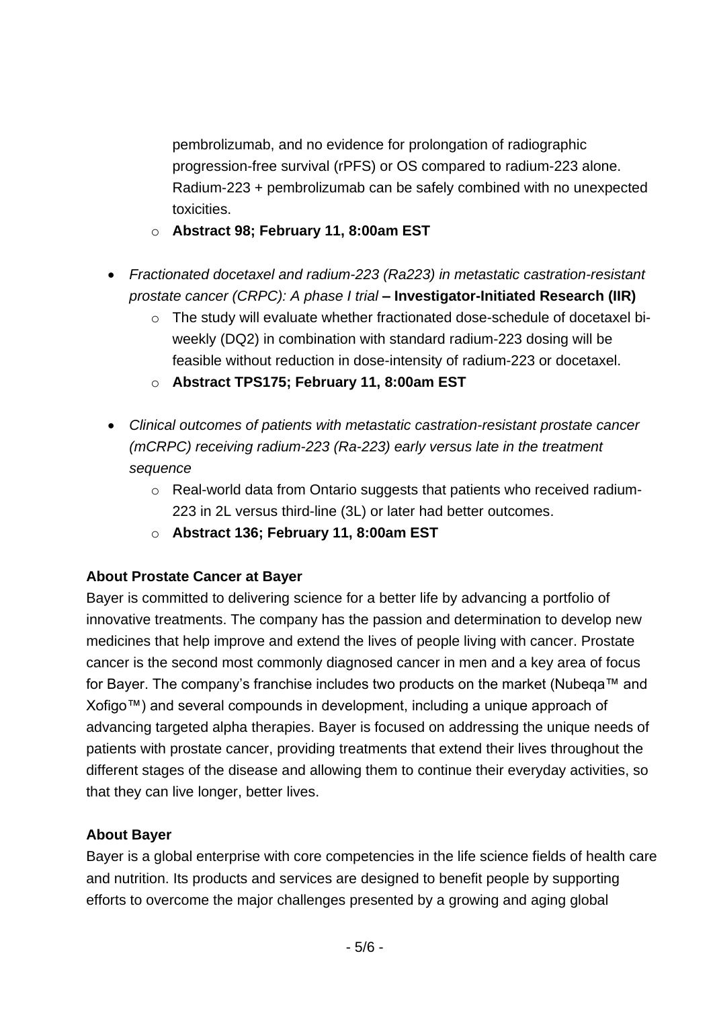pembrolizumab, and no evidence for prolongation of radiographic progression-free survival (rPFS) or OS compared to radium-223 alone. Radium-223 + pembrolizumab can be safely combined with no unexpected toxicities.

- o **Abstract 98; February 11, 8:00am EST**
- *Fractionated docetaxel and radium-223 (Ra223) in metastatic castration-resistant prostate cancer (CRPC): A phase I trial* **– Investigator-Initiated Research (IIR)**
	- o The study will evaluate whether fractionated dose-schedule of docetaxel biweekly (DQ2) in combination with standard radium-223 dosing will be feasible without reduction in dose-intensity of radium-223 or docetaxel.
	- o **Abstract TPS175; February 11, 8:00am EST**
- *Clinical outcomes of patients with metastatic castration-resistant prostate cancer (mCRPC) receiving radium-223 (Ra-223) early versus late in the treatment sequence*
	- o Real-world data from Ontario suggests that patients who received radium-223 in 2L versus third-line (3L) or later had better outcomes.
	- o **Abstract 136; February 11, 8:00am EST**

## **About Prostate Cancer at Bayer**

Bayer is committed to delivering science for a better life by advancing a portfolio of innovative treatments. The company has the passion and determination to develop new medicines that help improve and extend the lives of people living with cancer. Prostate cancer is the second most commonly diagnosed cancer in men and a key area of focus for Bayer. The company's franchise includes two products on the market (Nubeqa™ and Xofigo™) and several compounds in development, including a unique approach of advancing targeted alpha therapies. Bayer is focused on addressing the unique needs of patients with prostate cancer, providing treatments that extend their lives throughout the different stages of the disease and allowing them to continue their everyday activities, so that they can live longer, better lives.

#### **About Bayer**

Bayer is a global enterprise with core competencies in the life science fields of health care and nutrition. Its products and services are designed to benefit people by supporting efforts to overcome the major challenges presented by a growing and aging global